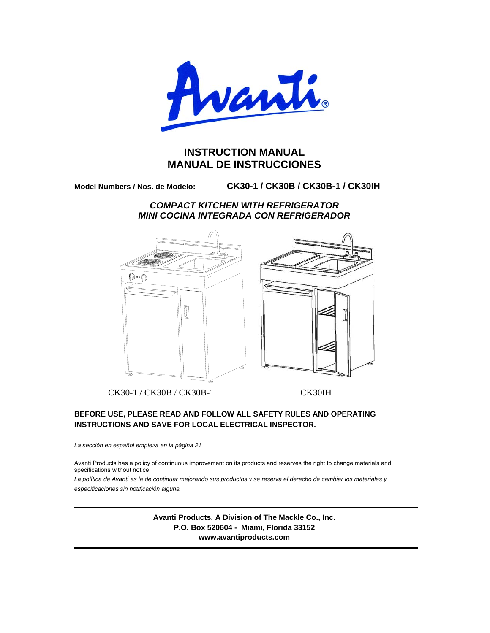

# **INSTRUCTION MANUAL MANUAL DE INSTRUCCIONES**

**Model Numbers / Nos. de Modelo: CK30-1 / CK30B / CK30B-1 / CK30IH** 

*COMPACT KITCHEN WITH REFRIGERATOR MINI COCINA INTEGRADA CON REFRIGERADOR*



CK30-1 / CK30B / CK30B-1 CK30IH

**BEFORE USE, PLEASE READ AND FOLLOW ALL SAFETY RULES AND OPERATING INSTRUCTIONS AND SAVE FOR LOCAL ELECTRICAL INSPECTOR.** 

*La sección en español empieza en la página 21* 

Avanti Products has a policy of continuous improvement on its products and reserves the right to change materials and specifications without notice.

*La política de Avanti es la de continuar mejorando sus productos y se reserva el derecho de cambiar los materiales y especificaciones sin notificación alguna.* 

> **Avanti Products, A Division of The Mackle Co., Inc. P.O. Box 520604 - Miami, Florida 33152 www.avantiproducts.com**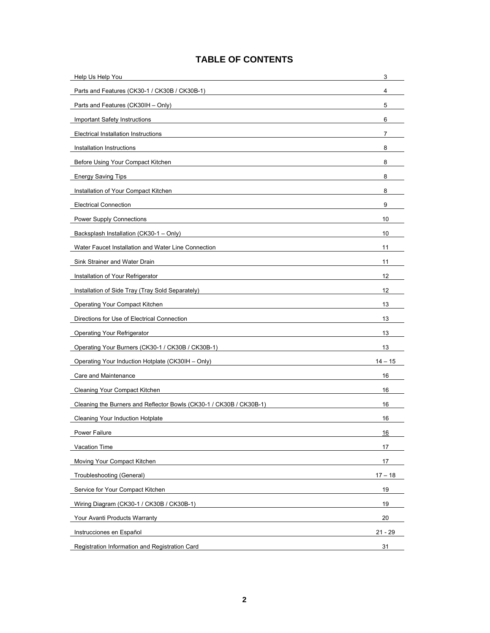# **TABLE OF CONTENTS**

| Help Us Help You                                                    | 3          |
|---------------------------------------------------------------------|------------|
| Parts and Features (CK30-1 / CK30B / CK30B-1)                       | 4          |
| Parts and Features (CK30IH - Only)                                  | 5          |
| <b>Important Safety Instructions</b>                                | 6          |
| Electrical Installation Instructions                                | 7          |
| Installation Instructions                                           | 8          |
| Before Using Your Compact Kitchen                                   | 8          |
| <b>Energy Saving Tips</b>                                           | 8          |
| Installation of Your Compact Kitchen                                | 8          |
| <b>Electrical Connection</b>                                        | 9          |
| <b>Power Supply Connections</b>                                     | 10         |
| Backsplash Installation (CK30-1 - Only)                             | 10         |
| Water Faucet Installation and Water Line Connection                 | 11         |
| Sink Strainer and Water Drain                                       | 11         |
| Installation of Your Refrigerator                                   | 12         |
| Installation of Side Tray (Tray Sold Separately)                    | 12         |
| Operating Your Compact Kitchen                                      | 13         |
| Directions for Use of Electrical Connection                         | 13         |
| <b>Operating Your Refrigerator</b>                                  | 13         |
| Operating Your Burners (CK30-1 / CK30B / CK30B-1)                   | 13         |
| Operating Your Induction Hotplate (CK30IH - Only)                   | $14 - 15$  |
| Care and Maintenance                                                | 16         |
| Cleaning Your Compact Kitchen                                       | 16         |
| Cleaning the Burners and Reflector Bowls (CK30-1 / CK30B / CK30B-1) | 16         |
| Cleaning Your Induction Hotplate                                    | 16         |
| <b>Power Failure</b>                                                | <u> 16</u> |
| <b>Vacation Time</b>                                                | 17         |
| Moving Your Compact Kitchen                                         | 17         |
| Troubleshooting (General)                                           | $17 - 18$  |
| Service for Your Compact Kitchen                                    | 19         |
| Wiring Diagram (CK30-1 / CK30B / CK30B-1)                           | 19         |
| Your Avanti Products Warranty                                       | 20         |
| Instrucciones en Español                                            | $21 - 29$  |
| Registration Information and Registration Card                      | 31         |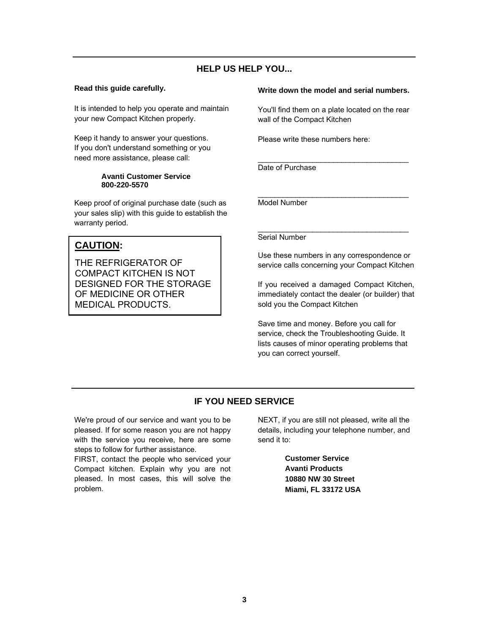# **HELP US HELP YOU...**

### **Read this guide carefully.**

It is intended to help you operate and maintain your new Compact Kitchen properly.

Keep it handy to answer your questions. If you don't understand something or you need more assistance, please call:

#### **Avanti Customer Service 800-220-5570**

Keep proof of original purchase date (such as your sales slip) with this guide to establish the warranty period.

# **CAUTION:**

THE REFRIGERATOR OF COMPACT KITCHEN IS NOT DESIGNED FOR THE STORAGE OF MEDICINE OR OTHER MEDICAL PRODUCTS.

#### **Write down the model and serial numbers.**

You'll find them on a plate located on the rear wall of the Compact Kitchen

\_\_\_\_\_\_\_\_\_\_\_\_\_\_\_\_\_\_\_\_\_\_\_\_\_\_\_\_\_\_\_\_\_\_\_\_

Please write these numbers here:

Date of Purchase

\_\_\_\_\_\_\_\_\_\_\_\_\_\_\_\_\_\_\_\_\_\_\_\_\_\_\_\_\_\_\_\_\_\_\_\_ Model Number

### Serial Number

Use these numbers in any correspondence or service calls concerning your Compact Kitchen

\_\_\_\_\_\_\_\_\_\_\_\_\_\_\_\_\_\_\_\_\_\_\_\_\_\_\_\_\_\_\_\_\_\_\_\_

If you received a damaged Compact Kitchen, immediately contact the dealer (or builder) that sold you the Compact Kitchen

Save time and money. Before you call for service, check the Troubleshooting Guide. It lists causes of minor operating problems that you can correct yourself.

## **IF YOU NEED SERVICE**

We're proud of our service and want you to be pleased. If for some reason you are not happy with the service you receive, here are some steps to follow for further assistance.

FIRST, contact the people who serviced your Compact kitchen. Explain why you are not pleased. In most cases, this will solve the problem.

NEXT, if you are still not pleased, write all the details, including your telephone number, and send it to:

> **Customer Service Avanti Products 10880 NW 30 Street Miami, FL 33172 USA**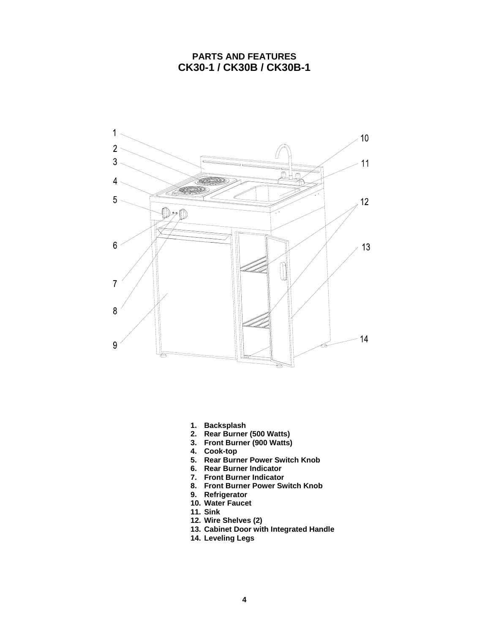# **PARTS AND FEATURES CK30-1 / CK30B / CK30B-1**



- **1. Backsplash**
- **2. Rear Burner (500 Watts)**
- **3. Front Burner (900 Watts)**
- **4. Cook-top**
- **5. Rear Burner Power Switch Knob**
- **6. Rear Burner Indicator**
- **7. Front Burner Indicator**
- **8. Front Burner Power Switch Knob**
- **9. Refrigerator**
- **10. Water Faucet**
- **11. Sink**
- **12. Wire Shelves (2)**
- **13. Cabinet Door with Integrated Handle**
- **14. Leveling Legs**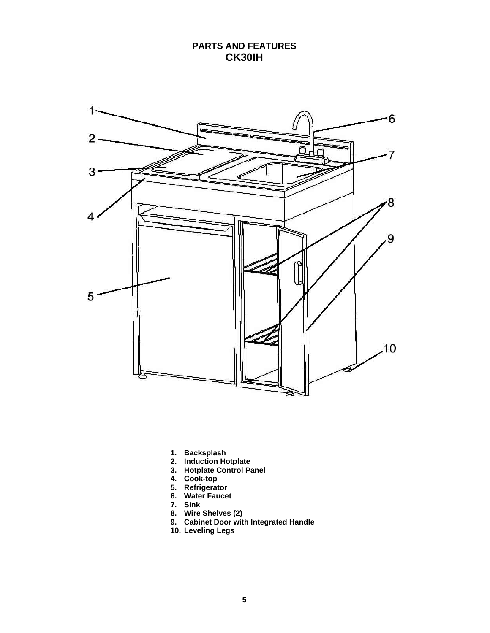# **PARTS AND FEATURES CK30IH**



- **1. Backsplash**
- **2. Induction Hotplate**
- **3. Hotplate Control Panel**
- **4. Cook-top**
- **5. Refrigerator**
- **6. Water Faucet**
- **7. Sink**
- **8. Wire Shelves (2)**
- **9. Cabinet Door with Integrated Handle**
- **10. Leveling Legs**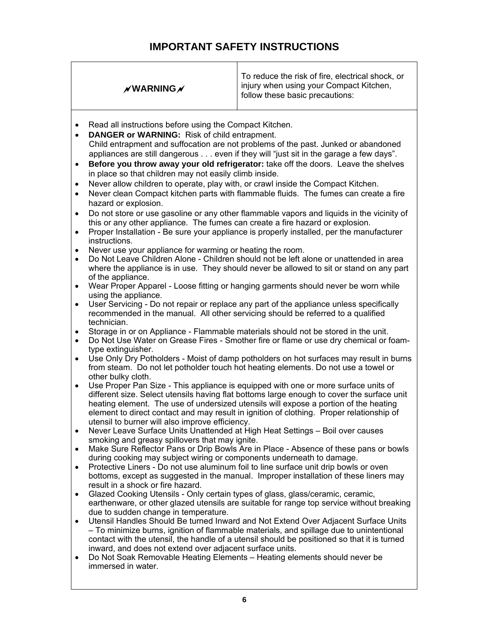# **IMPORTANT SAFETY INSTRUCTIONS**

|                        | <b>NWARNINGN</b>                                                                                                                                                                                                                                                                                                | To reduce the risk of fire, electrical shock, or<br>injury when using your Compact Kitchen,<br>follow these basic precautions:                                                                                                                                                                                                                                       |  |
|------------------------|-----------------------------------------------------------------------------------------------------------------------------------------------------------------------------------------------------------------------------------------------------------------------------------------------------------------|----------------------------------------------------------------------------------------------------------------------------------------------------------------------------------------------------------------------------------------------------------------------------------------------------------------------------------------------------------------------|--|
| $\bullet$<br>$\bullet$ | Read all instructions before using the Compact Kitchen.<br>DANGER or WARNING: Risk of child entrapment.<br>Child entrapment and suffocation are not problems of the past. Junked or abandoned                                                                                                                   |                                                                                                                                                                                                                                                                                                                                                                      |  |
| $\bullet$              | appliances are still dangerous even if they will "just sit in the garage a few days".<br>Before you throw away your old refrigerator: take off the doors. Leave the shelves                                                                                                                                     |                                                                                                                                                                                                                                                                                                                                                                      |  |
| $\bullet$<br>$\bullet$ | in place so that children may not easily climb inside.<br>Never allow children to operate, play with, or crawl inside the Compact Kitchen.<br>Never clean Compact kitchen parts with flammable fluids. The fumes can create a fire                                                                              |                                                                                                                                                                                                                                                                                                                                                                      |  |
| $\bullet$<br>$\bullet$ | hazard or explosion.<br>Do not store or use gasoline or any other flammable vapors and liquids in the vicinity of<br>this or any other appliance. The fumes can create a fire hazard or explosion.<br>Proper Installation - Be sure your appliance is properly installed, per the manufacturer<br>instructions. |                                                                                                                                                                                                                                                                                                                                                                      |  |
| ٠<br>$\bullet$         | Never use your appliance for warming or heating the room.<br>of the appliance.                                                                                                                                                                                                                                  | Do Not Leave Children Alone - Children should not be left alone or unattended in area<br>where the appliance is in use. They should never be allowed to sit or stand on any part                                                                                                                                                                                     |  |
| $\bullet$              | using the appliance.                                                                                                                                                                                                                                                                                            | Wear Proper Apparel - Loose fitting or hanging garments should never be worn while                                                                                                                                                                                                                                                                                   |  |
| $\bullet$              | recommended in the manual. All other servicing should be referred to a qualified<br>technician.                                                                                                                                                                                                                 | User Servicing - Do not repair or replace any part of the appliance unless specifically                                                                                                                                                                                                                                                                              |  |
| $\bullet$<br>$\bullet$ | Storage in or on Appliance - Flammable materials should not be stored in the unit.<br>Do Not Use Water on Grease Fires - Smother fire or flame or use dry chemical or foam-<br>type extinguisher.                                                                                                               |                                                                                                                                                                                                                                                                                                                                                                      |  |
| $\bullet$              | Use Only Dry Potholders - Moist of damp potholders on hot surfaces may result in burns<br>from steam. Do not let potholder touch hot heating elements. Do not use a towel or<br>other bulky cloth.                                                                                                              |                                                                                                                                                                                                                                                                                                                                                                      |  |
| $\bullet$              | utensil to burner will also improve efficiency.                                                                                                                                                                                                                                                                 | Use Proper Pan Size - This appliance is equipped with one or more surface units of<br>different size. Select utensils having flat bottoms large enough to cover the surface unit<br>heating element. The use of undersized utensils will expose a portion of the heating<br>element to direct contact and may result in ignition of clothing. Proper relationship of |  |
| $\bullet$              | Never Leave Surface Units Unattended at High Heat Settings - Boil over causes                                                                                                                                                                                                                                   |                                                                                                                                                                                                                                                                                                                                                                      |  |
| ٠                      | smoking and greasy spillovers that may ignite.<br>during cooking may subject wiring or components underneath to damage.                                                                                                                                                                                         | Make Sure Reflector Pans or Drip Bowls Are in Place - Absence of these pans or bowls                                                                                                                                                                                                                                                                                 |  |
| ٠                      |                                                                                                                                                                                                                                                                                                                 | Protective Liners - Do not use aluminum foil to line surface unit drip bowls or oven<br>bottoms, except as suggested in the manual. Improper installation of these liners may                                                                                                                                                                                        |  |
| $\bullet$              | result in a shock or fire hazard.<br>Glazed Cooking Utensils - Only certain types of glass, glass/ceramic, ceramic,                                                                                                                                                                                             | earthenware, or other glazed utensils are suitable for range top service without breaking                                                                                                                                                                                                                                                                            |  |
| $\bullet$              | due to sudden change in temperature.                                                                                                                                                                                                                                                                            | Utensil Handles Should Be turned Inward and Not Extend Over Adjacent Surface Units<br>- To minimize burns, ignition of flammable materials, and spillage due to unintentional<br>contact with the utensil, the handle of a utensil should be positioned so that it is turned                                                                                         |  |
| ٠                      | inward, and does not extend over adjacent surface units.<br>Do Not Soak Removable Heating Elements - Heating elements should never be<br>immersed in water.                                                                                                                                                     |                                                                                                                                                                                                                                                                                                                                                                      |  |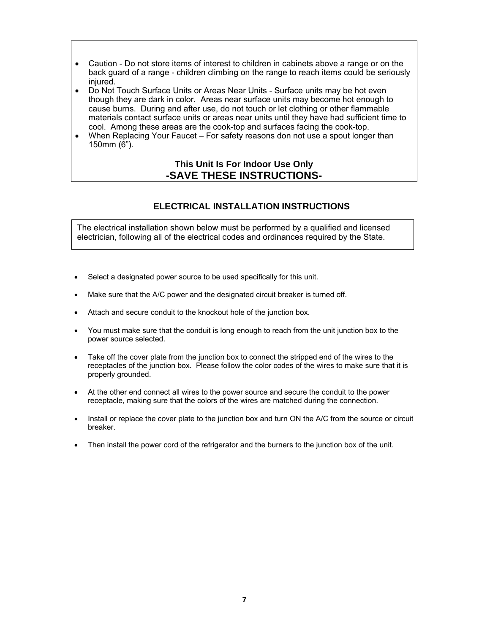- Caution Do not store items of interest to children in cabinets above a range or on the back guard of a range - children climbing on the range to reach items could be seriously injured.
- Do Not Touch Surface Units or Areas Near Units Surface units may be hot even though they are dark in color. Areas near surface units may become hot enough to cause burns. During and after use, do not touch or let clothing or other flammable materials contact surface units or areas near units until they have had sufficient time to cool. Among these areas are the cook-top and surfaces facing the cook-top.
- When Replacing Your Faucet For safety reasons don not use a spout longer than 150mm (6").

# **This Unit Is For Indoor Use Only -SAVE THESE INSTRUCTIONS-**

# **ELECTRICAL INSTALLATION INSTRUCTIONS**

The electrical installation shown below must be performed by a qualified and licensed electrician, following all of the electrical codes and ordinances required by the State.

- Select a designated power source to be used specifically for this unit.
- Make sure that the A/C power and the designated circuit breaker is turned off.
- Attach and secure conduit to the knockout hole of the junction box.
- You must make sure that the conduit is long enough to reach from the unit junction box to the power source selected.
- Take off the cover plate from the junction box to connect the stripped end of the wires to the receptacles of the junction box. Please follow the color codes of the wires to make sure that it is properly grounded.
- At the other end connect all wires to the power source and secure the conduit to the power receptacle, making sure that the colors of the wires are matched during the connection.
- Install or replace the cover plate to the junction box and turn ON the A/C from the source or circuit breaker.
- Then install the power cord of the refrigerator and the burners to the junction box of the unit.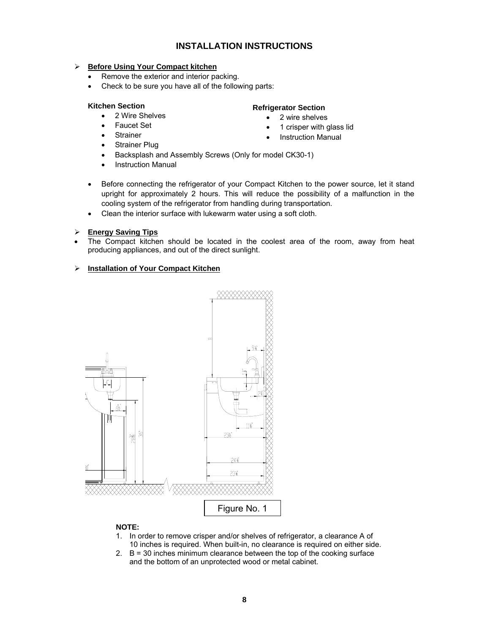# **INSTALLATION INSTRUCTIONS**

### ¾ **Before Using Your Compact kitchen**

- Remove the exterior and interior packing.
- Check to be sure you have all of the following parts:

### **Kitchen Section**

- 2 Wire Shelves
- Faucet Set
- **Strainer**
- **Strainer Plug** 
	-
- Backsplash and Assembly Screws (Only for model CK30-1)
- Instruction Manual
- Before connecting the refrigerator of your Compact Kitchen to the power source, let it stand upright for approximately 2 hours. This will reduce the possibility of a malfunction in the cooling system of the refrigerator from handling during transportation.
- Clean the interior surface with lukewarm water using a soft cloth.

### ¾ **Energy Saving Tips**

The Compact kitchen should be located in the coolest area of the room, away from heat producing appliances, and out of the direct sunlight.

### ¾ **Installation of Your Compact Kitchen**



### **NOTE:**

- 1. In order to remove crisper and/or shelves of refrigerator, a clearance A of 10 inches is required. When built-in, no clearance is required on either side.
- 2. B = 30 inches minimum clearance between the top of the cooking surface and the bottom of an unprotected wood or metal cabinet.

# **Refrigerator Section**

- 2 wire shelves
- 1 crisper with glass lid
- **Instruction Manual**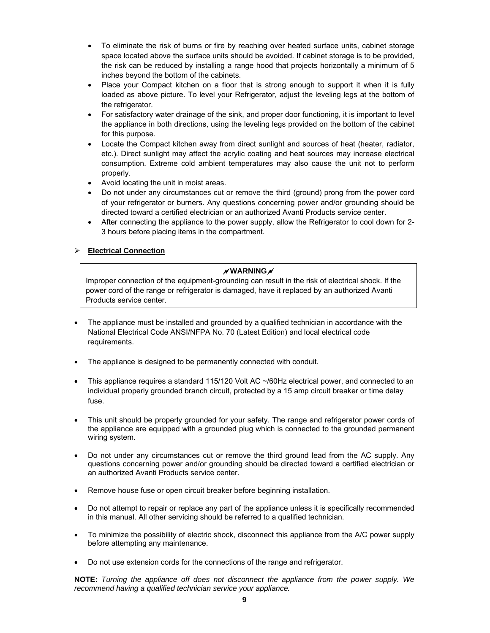- To eliminate the risk of burns or fire by reaching over heated surface units, cabinet storage space located above the surface units should be avoided. If cabinet storage is to be provided, the risk can be reduced by installing a range hood that projects horizontally a minimum of 5 inches beyond the bottom of the cabinets.
- Place your Compact kitchen on a floor that is strong enough to support it when it is fully loaded as above picture. To level your Refrigerator, adjust the leveling legs at the bottom of the refrigerator.
- For satisfactory water drainage of the sink, and proper door functioning, it is important to level the appliance in both directions, using the leveling legs provided on the bottom of the cabinet for this purpose.
- Locate the Compact kitchen away from direct sunlight and sources of heat (heater, radiator, etc.). Direct sunlight may affect the acrylic coating and heat sources may increase electrical consumption. Extreme cold ambient temperatures may also cause the unit not to perform properly.
- Avoid locating the unit in moist areas.
- Do not under any circumstances cut or remove the third (ground) prong from the power cord of your refrigerator or burners. Any questions concerning power and/or grounding should be directed toward a certified electrician or an authorized Avanti Products service center.
- After connecting the appliance to the power supply, allow the Refrigerator to cool down for 2-3 hours before placing items in the compartment.

### ¾ **Electrical Connection**

### **NWARNING**

Improper connection of the equipment-grounding can result in the risk of electrical shock. If the power cord of the range or refrigerator is damaged, have it replaced by an authorized Avanti Products service center.

- The appliance must be installed and grounded by a qualified technician in accordance with the National Electrical Code ANSI/NFPA No. 70 (Latest Edition) and local electrical code requirements.
- The appliance is designed to be permanently connected with conduit.
- This appliance requires a standard 115/120 Volt AC ~/60Hz electrical power, and connected to an individual properly grounded branch circuit, protected by a 15 amp circuit breaker or time delay fuse.
- This unit should be properly grounded for your safety. The range and refrigerator power cords of the appliance are equipped with a grounded plug which is connected to the grounded permanent wiring system.
- Do not under any circumstances cut or remove the third ground lead from the AC supply. Any questions concerning power and/or grounding should be directed toward a certified electrician or an authorized Avanti Products service center.
- Remove house fuse or open circuit breaker before beginning installation.
- Do not attempt to repair or replace any part of the appliance unless it is specifically recommended in this manual. All other servicing should be referred to a qualified technician.
- To minimize the possibility of electric shock, disconnect this appliance from the A/C power supply before attempting any maintenance.
- Do not use extension cords for the connections of the range and refrigerator.

**NOTE:** *Turning the appliance off does not disconnect the appliance from the power supply. We recommend having a qualified technician service your appliance.*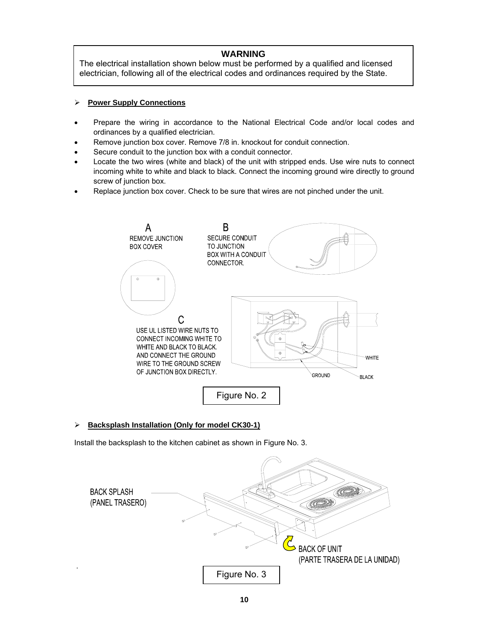# **WARNING**

The electrical installation shown below must be performed by a qualified and licensed electrician, following all of the electrical codes and ordinances required by the State.

### **Power Supply Connections**

- Prepare the wiring in accordance to the National Electrical Code and/or local codes and ordinances by a qualified electrician.
- Remove junction box cover. Remove 7/8 in. knockout for conduit connection.
- Secure conduit to the junction box with a conduit connector.
- Locate the two wires (white and black) of the unit with stripped ends. Use wire nuts to connect incoming white to white and black to black. Connect the incoming ground wire directly to ground screw of junction box.
- Replace junction box cover. Check to be sure that wires are not pinched under the unit.



#### ¾ **Backsplash Installation (Only for model CK30-1)**

Install the backsplash to the kitchen cabinet as shown in Figure No. 3.

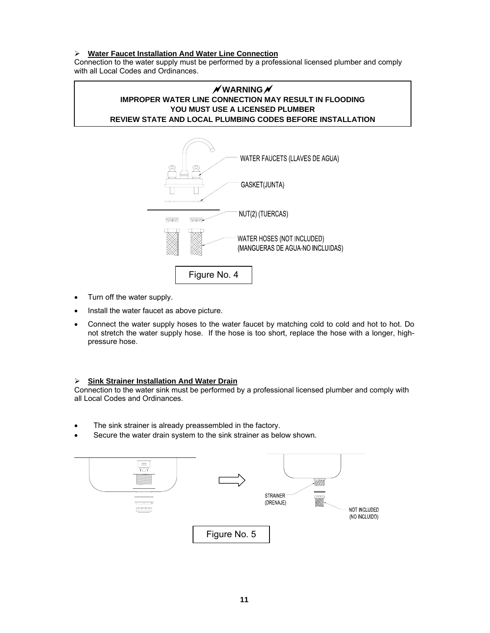### ¾ **Water Faucet Installation And Water Line Connection**

Connection to the water supply must be performed by a professional licensed plumber and comply with all Local Codes and Ordinances.





- Turn off the water supply.
- Install the water faucet as above picture.
- Connect the water supply hoses to the water faucet by matching cold to cold and hot to hot. Do not stretch the water supply hose. If the hose is too short, replace the hose with a longer, highpressure hose.

### ¾ **Sink Strainer Installation And Water Drain**

Connection to the water sink must be performed by a professional licensed plumber and comply with all Local Codes and Ordinances.

- The sink strainer is already preassembled in the factory.
- Secure the water drain system to the sink strainer as below shown.

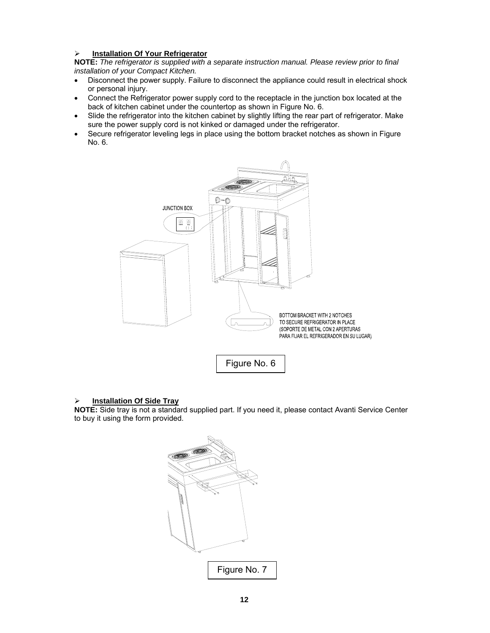### ¾ **Installation Of Your Refrigerator**

**NOTE:** *The refrigerator is supplied with a separate instruction manual. Please review prior to final installation of your Compact Kitchen.* 

- Disconnect the power supply. Failure to disconnect the appliance could result in electrical shock or personal injury.
- Connect the Refrigerator power supply cord to the receptacle in the junction box located at the back of kitchen cabinet under the countertop as shown in Figure No. 6.
- Slide the refrigerator into the kitchen cabinet by slightly lifting the rear part of refrigerator. Make sure the power supply cord is not kinked or damaged under the refrigerator.
- Secure refrigerator leveling legs in place using the bottom bracket notches as shown in Figure No. 6.



### ¾ **Installation Of Side Tray**

**NOTE:** Side tray is not a standard supplied part. If you need it, please contact Avanti Service Center to buy it using the form provided.

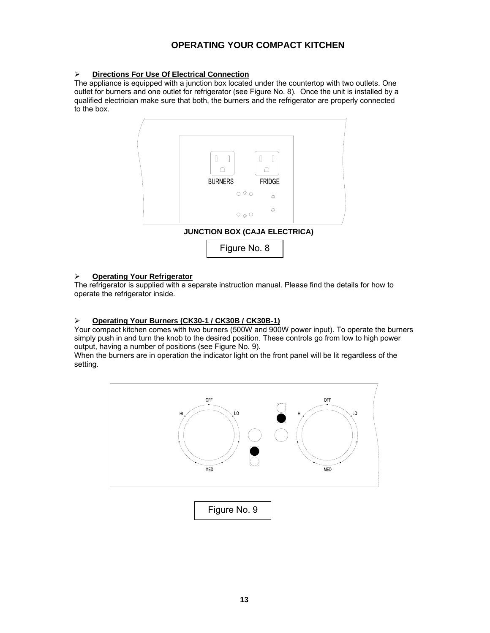# **OPERATING YOUR COMPACT KITCHEN**

### ¾ **Directions For Use Of Electrical Connection**

The appliance is equipped with a junction box located under the countertop with two outlets. One outlet for burners and one outlet for refrigerator (see Figure No. 8). Once the unit is installed by a qualified electrician make sure that both, the burners and the refrigerator are properly connected to the box.



#### ¾ **Operating Your Refrigerator**

The refrigerator is supplied with a separate instruction manual. Please find the details for how to operate the refrigerator inside.

#### ¾ **Operating Your Burners (CK30-1 / CK30B / CK30B-1)**

Your compact kitchen comes with two burners (500W and 900W power input). To operate the burners simply push in and turn the knob to the desired position. These controls go from low to high power output, having a number of positions (see Figure No. 9).

When the burners are in operation the indicator light on the front panel will be lit regardless of the setting.



Figure No. 9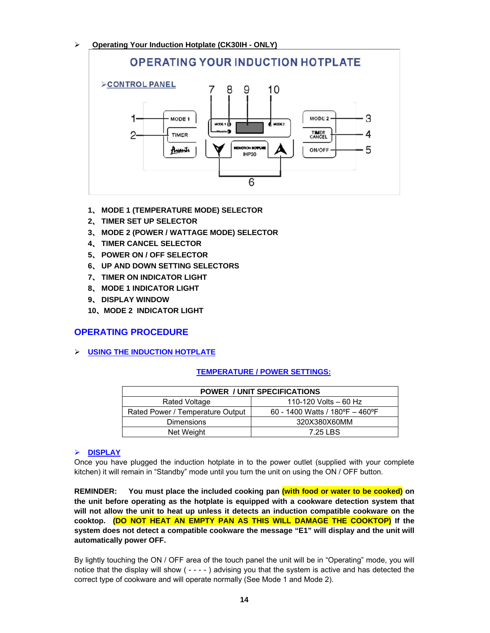¾ **Operating Your Induction Hotplate (CK30IH - ONLY)**



- **1**、 **MODE 1 (TEMPERATURE MODE) SELECTOR**
- **2**、 **TIMER SET UP SELECTOR**
- **3**、 **MODE 2 (POWER / WATTAGE MODE) SELECTOR**
- **4**、 **TIMER CANCEL SELECTOR**
- **5**、 **POWER ON / OFF SELECTOR**
- **6**、 **UP AND DOWN SETTING SELECTORS**
- **7**、 **TIMER ON INDICATOR LIGHT**
- **8**、 **MODE 1 INDICATOR LIGHT**
- **9**、 **DISPLAY WINDOW**
- **10**、**MODE 2 INDICATOR LIGHT**

## **OPERATING PROCEDURE**

¾ **USING THE INDUCTION HOTPLATE**

### **TEMPERATURE / POWER SETTINGS:**

| <b>POWER / UNIT SPECIFICATIONS</b> |                                 |  |
|------------------------------------|---------------------------------|--|
| Rated Voltage                      | 110-120 Volts - 60 Hz           |  |
| Rated Power / Temperature Output   | 60 - 1400 Watts / 180°F - 460°F |  |
| <b>Dimensions</b>                  | 320X380X60MM                    |  |
| Net Weight                         | 7.25 LBS                        |  |

### ¾ **DISPLAY**

Once you have plugged the induction hotplate in to the power outlet (supplied with your complete kitchen) it will remain in "Standby" mode until you turn the unit on using the ON / OFF button.

**REMINDER: You must place the included cooking pan (with food or water to be cooked) on the unit before operating as the hotplate is equipped with a cookware detection system that will not allow the unit to heat up unless it detects an induction compatible cookware on the cooktop. (DO NOT HEAT AN EMPTY PAN AS THIS WILL DAMAGE THE COOKTOP) If the system does not detect a compatible cookware the message "E1" will display and the unit will automatically power OFF.** 

By lightly touching the ON / OFF area of the touch panel the unit will be in "Operating" mode, you will notice that the display will show ( - - - - ) advising you that the system is active and has detected the correct type of cookware and will operate normally (See Mode 1 and Mode 2).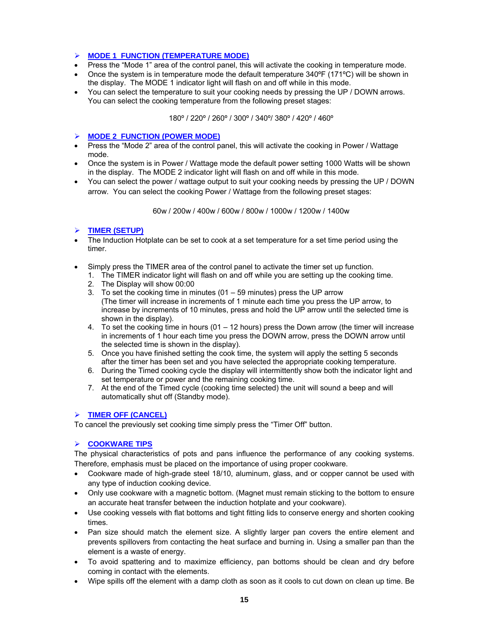### ¾ **MODE 1 FUNCTION (TEMPERATURE MODE)**

- Press the "Mode 1" area of the control panel, this will activate the cooking in temperature mode.
- Once the system is in temperature mode the default temperature 340°F (171°C) will be shown in the display. The MODE 1 indicator light will flash on and off while in this mode.
- You can select the temperature to suit your cooking needs by pressing the UP / DOWN arrows. You can select the cooking temperature from the following preset stages:

#### 180º / 220º / 260º / 300º / 340º/ 380º / 420º / 460º

### ¾ **MODE 2 FUNCTION (POWER MODE)**

- Press the "Mode 2" area of the control panel, this will activate the cooking in Power / Wattage mode.
- Once the system is in Power / Wattage mode the default power setting 1000 Watts will be shown in the display. The MODE 2 indicator light will flash on and off while in this mode.
- You can select the power / wattage output to suit your cooking needs by pressing the UP / DOWN arrow. You can select the cooking Power / Wattage from the following preset stages:

60w / 200w / 400w / 600w / 800w / 1000w / 1200w / 1400w

### ¾ **TIMER (SETUP)**

- The Induction Hotplate can be set to cook at a set temperature for a set time period using the timer.
- Simply press the TIMER area of the control panel to activate the timer set up function.
	- 1. The TIMER indicator light will flash on and off while you are setting up the cooking time.
	- 2. The Display will show 00:00
	- 3. To set the cooking time in minutes (01 59 minutes) press the UP arrow (The timer will increase in increments of 1 minute each time you press the UP arrow, to increase by increments of 10 minutes, press and hold the UP arrow until the selected time is shown in the display).
	- 4. To set the cooking time in hours (01 12 hours) press the Down arrow (the timer will increase in increments of 1 hour each time you press the DOWN arrow, press the DOWN arrow until the selected time is shown in the display).
	- 5. Once you have finished setting the cook time, the system will apply the setting 5 seconds after the timer has been set and you have selected the appropriate cooking temperature.
	- 6. During the Timed cooking cycle the display will intermittently show both the indicator light and set temperature or power and the remaining cooking time.
	- 7. At the end of the Timed cycle (cooking time selected) the unit will sound a beep and will automatically shut off (Standby mode).

### ¾ **TIMER OFF (CANCEL)**

To cancel the previously set cooking time simply press the "Timer Off" button.

### ¾ **COOKWARE TIPS**

The physical characteristics of pots and pans influence the performance of any cooking systems. Therefore, emphasis must be placed on the importance of using proper cookware.

- Cookware made of high-grade steel 18/10, aluminum, glass, and or copper cannot be used with any type of induction cooking device.
- Only use cookware with a magnetic bottom. (Magnet must remain sticking to the bottom to ensure an accurate heat transfer between the induction hotplate and your cookware).
- Use cooking vessels with flat bottoms and tight fitting lids to conserve energy and shorten cooking times.
- Pan size should match the element size. A slightly larger pan covers the entire element and prevents spillovers from contacting the heat surface and burning in. Using a smaller pan than the element is a waste of energy.
- To avoid spattering and to maximize efficiency, pan bottoms should be clean and dry before coming in contact with the elements.
- Wipe spills off the element with a damp cloth as soon as it cools to cut down on clean up time. Be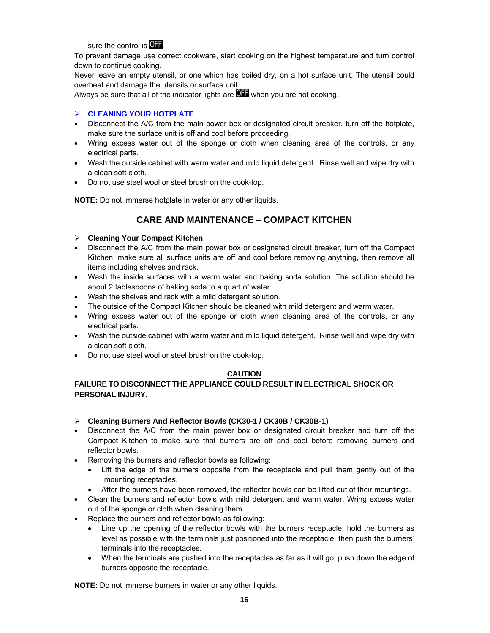sure the control is **.** 

To prevent damage use correct cookware, start cooking on the highest temperature and turn control down to continue cooking.

Never leave an empty utensil, or one which has boiled dry, on a hot surface unit. The utensil could overheat and damage the utensils or surface unit.

Always be sure that all of the indicator lights are  $\mathbb{Q}$  when you are not cooking.

### ¾ **CLEANING YOUR HOTPLATE**

- Disconnect the A/C from the main power box or designated circuit breaker, turn off the hotplate, make sure the surface unit is off and cool before proceeding.
- Wring excess water out of the sponge or cloth when cleaning area of the controls, or any electrical parts.
- Wash the outside cabinet with warm water and mild liquid detergent. Rinse well and wipe dry with a clean soft cloth.
- Do not use steel wool or steel brush on the cook-top.

**NOTE:** Do not immerse hotplate in water or any other liquids.

# **CARE AND MAINTENANCE – COMPACT KITCHEN**

### ¾ **Cleaning Your Compact Kitchen**

- Disconnect the A/C from the main power box or designated circuit breaker, turn off the Compact Kitchen, make sure all surface units are off and cool before removing anything, then remove all items including shelves and rack.
- Wash the inside surfaces with a warm water and baking soda solution. The solution should be about 2 tablespoons of baking soda to a quart of water.
- Wash the shelves and rack with a mild detergent solution.
- The outside of the Compact Kitchen should be cleaned with mild detergent and warm water.
- Wring excess water out of the sponge or cloth when cleaning area of the controls, or any electrical parts.
- Wash the outside cabinet with warm water and mild liquid detergent. Rinse well and wipe dry with a clean soft cloth.
- Do not use steel wool or steel brush on the cook-top.

### **CAUTION**

### **FAILURE TO DISCONNECT THE APPLIANCE COULD RESULT IN ELECTRICAL SHOCK OR PERSONAL INJURY.**

- ¾ **Cleaning Burners And Reflector Bowls (CK30-1 / CK30B / CK30B-1)**
- Disconnect the A/C from the main power box or designated circuit breaker and turn off the Compact Kitchen to make sure that burners are off and cool before removing burners and reflector bowls.
- Removing the burners and reflector bowls as following:
	- Lift the edge of the burners opposite from the receptacle and pull them gently out of the mounting receptacles.
	- After the burners have been removed, the reflector bowls can be lifted out of their mountings.
- Clean the burners and reflector bowls with mild detergent and warm water. Wring excess water out of the sponge or cloth when cleaning them.
- Replace the burners and reflector bowls as following:
	- Line up the opening of the reflector bowls with the burners receptacle, hold the burners as level as possible with the terminals just positioned into the receptacle, then push the burners' terminals into the receptacles.
	- When the terminals are pushed into the receptacles as far as it will go, push down the edge of burners opposite the receptacle.

**NOTE:** Do not immerse burners in water or any other liquids.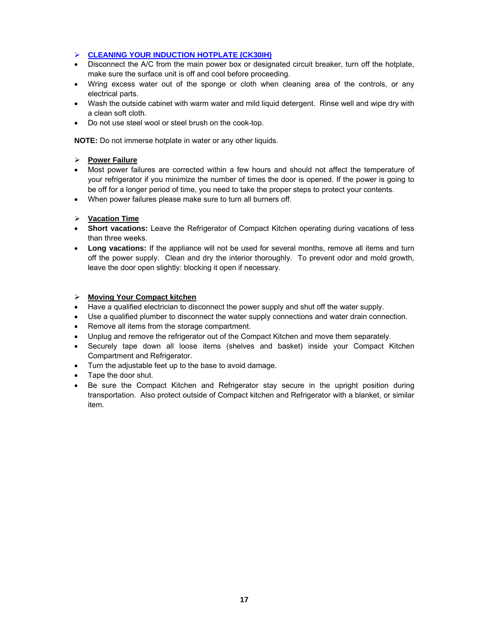### ¾ **CLEANING YOUR INDUCTION HOTPLATE (CK30IH)**

- Disconnect the A/C from the main power box or designated circuit breaker, turn off the hotplate, make sure the surface unit is off and cool before proceeding.
- Wring excess water out of the sponge or cloth when cleaning area of the controls, or any electrical parts.
- Wash the outside cabinet with warm water and mild liquid detergent. Rinse well and wipe dry with a clean soft cloth.
- Do not use steel wool or steel brush on the cook-top.

**NOTE:** Do not immerse hotplate in water or any other liquids.

### ¾ **Power Failure**

- Most power failures are corrected within a few hours and should not affect the temperature of your refrigerator if you minimize the number of times the door is opened. If the power is going to be off for a longer period of time, you need to take the proper steps to protect your contents.
- When power failures please make sure to turn all burners off.

### ¾ **Vacation Time**

- **Short vacations:** Leave the Refrigerator of Compact Kitchen operating during vacations of less than three weeks.
- Long vacations: If the appliance will not be used for several months, remove all items and turn off the power supply. Clean and dry the interior thoroughly. To prevent odor and mold growth, leave the door open slightly: blocking it open if necessary.

#### ¾ **Moving Your Compact kitchen**

- Have a qualified electrician to disconnect the power supply and shut off the water supply.
- Use a qualified plumber to disconnect the water supply connections and water drain connection.
- Remove all items from the storage compartment.
- Unplug and remove the refrigerator out of the Compact Kitchen and move them separately.
- Securely tape down all loose items (shelves and basket) inside your Compact Kitchen Compartment and Refrigerator.
- Turn the adjustable feet up to the base to avoid damage.
- Tape the door shut.
- Be sure the Compact Kitchen and Refrigerator stay secure in the upright position during transportation. Also protect outside of Compact kitchen and Refrigerator with a blanket, or similar item.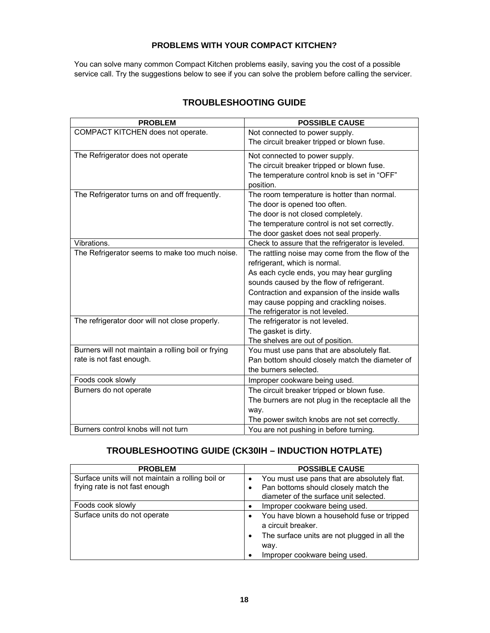## **PROBLEMS WITH YOUR COMPACT KITCHEN?**

You can solve many common Compact Kitchen problems easily, saving you the cost of a possible service call. Try the suggestions below to see if you can solve the problem before calling the servicer.

| <b>PROBLEM</b>                                     | <b>POSSIBLE CAUSE</b>                              |
|----------------------------------------------------|----------------------------------------------------|
| COMPACT KITCHEN does not operate.                  | Not connected to power supply.                     |
|                                                    | The circuit breaker tripped or blown fuse.         |
| The Refrigerator does not operate                  | Not connected to power supply.                     |
|                                                    | The circuit breaker tripped or blown fuse.         |
|                                                    | The temperature control knob is set in "OFF"       |
|                                                    | position.                                          |
| The Refrigerator turns on and off frequently.      | The room temperature is hotter than normal.        |
|                                                    | The door is opened too often.                      |
|                                                    | The door is not closed completely.                 |
|                                                    | The temperature control is not set correctly.      |
|                                                    | The door gasket does not seal properly.            |
| Vibrations.                                        | Check to assure that the refrigerator is leveled.  |
| The Refrigerator seems to make too much noise.     | The rattling noise may come from the flow of the   |
|                                                    | refrigerant, which is normal.                      |
|                                                    | As each cycle ends, you may hear gurgling          |
|                                                    | sounds caused by the flow of refrigerant.          |
|                                                    | Contraction and expansion of the inside walls      |
|                                                    | may cause popping and crackling noises.            |
|                                                    | The refrigerator is not leveled.                   |
| The refrigerator door will not close properly.     | The refrigerator is not leveled.                   |
|                                                    | The gasket is dirty.                               |
|                                                    | The shelves are out of position.                   |
| Burners will not maintain a rolling boil or frying | You must use pans that are absolutely flat.        |
| rate is not fast enough.                           | Pan bottom should closely match the diameter of    |
|                                                    | the burners selected.                              |
| Foods cook slowly                                  | Improper cookware being used.                      |
| Burners do not operate                             | The circuit breaker tripped or blown fuse.         |
|                                                    | The burners are not plug in the receptacle all the |
|                                                    | way.                                               |
|                                                    | The power switch knobs are not set correctly.      |
| Burners control knobs will not turn                | You are not pushing in before turning.             |

# **TROUBLESHOOTING GUIDE**

# **TROUBLESHOOTING GUIDE (CK30IH – INDUCTION HOTPLATE)**

| <b>PROBLEM</b>                                    | <b>POSSIBLE CAUSE</b>                                                         |
|---------------------------------------------------|-------------------------------------------------------------------------------|
| Surface units will not maintain a rolling boil or | You must use pans that are absolutely flat.<br>٠                              |
| frying rate is not fast enough                    | Pan bottoms should closely match the                                          |
|                                                   | diameter of the surface unit selected.                                        |
| Foods cook slowly                                 | Improper cookware being used.                                                 |
| Surface units do not operate                      | You have blown a household fuse or tripped<br>$\bullet$<br>a circuit breaker. |
|                                                   | The surface units are not plugged in all the                                  |
|                                                   | way.                                                                          |
|                                                   | Improper cookware being used.                                                 |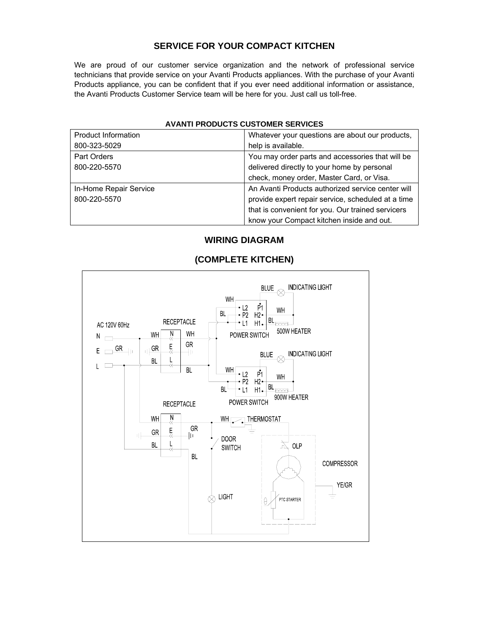# **SERVICE FOR YOUR COMPACT KITCHEN**

We are proud of our customer service organization and the network of professional service technicians that provide service on your Avanti Products appliances. With the purchase of your Avanti Products appliance, you can be confident that if you ever need additional information or assistance, the Avanti Products Customer Service team will be here for you. Just call us toll-free.

#### **AVANTI PRODUCTS CUSTOMER SERVICES**

| Product Information    | Whatever your questions are about our products,    |
|------------------------|----------------------------------------------------|
| 800-323-5029           | help is available.                                 |
| Part Orders            | You may order parts and accessories that will be   |
| 800-220-5570           | delivered directly to your home by personal        |
|                        | check, money order, Master Card, or Visa.          |
| In-Home Repair Service | An Avanti Products authorized service center will  |
| 800-220-5570           | provide expert repair service, scheduled at a time |
|                        | that is convenient for you. Our trained servicers  |
|                        | know your Compact kitchen inside and out.          |

### **WIRING DIAGRAM**



# **(COMPLETE KITCHEN)**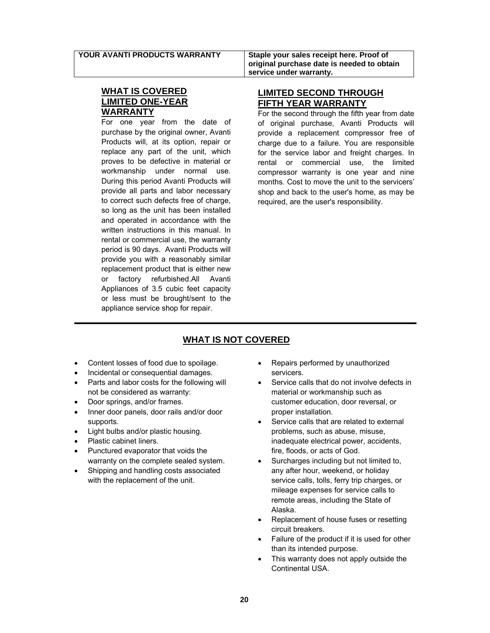## **WHAT IS COVERED LIMITED ONE-YEAR WARRANTY**

For one year from the date of purchase by the original owner, Avanti Products will, at its option, repair or replace any part of the unit, which proves to be defective in material or workmanship under normal use. During this period Avanti Products will provide all parts and labor necessary to correct such defects free of charge, so long as the unit has been installed and operated in accordance with the written instructions in this manual. In rental or commercial use, the warranty period is 90 days. Avanti Products will provide you with a reasonably similar replacement product that is either new or factory refurbished.All Avanti Appliances of 3.5 cubic feet capacity or less must be brought/sent to the appliance service shop for repair.

**YOUR AVANTI PRODUCTS WARRANTY** Staple your sales receipt here. Proof of **original purchase date is needed to obtain service under warranty.** 

# **LIMITED SECOND THROUGH FIFTH YEAR WARRANTY**

For the second through the fifth year from date of original purchase, Avanti Products will provide a replacement compressor free of charge due to a failure. You are responsible for the service labor and freight charges. In rental or commercial use, the limited compressor warranty is one year and nine months. Cost to move the unit to the servicers' shop and back to the user's home, as may be required, are the user's responsibility.

# **WHAT IS NOT COVERED**

- Content losses of food due to spoilage.
- Incidental or consequential damages.
- Parts and labor costs for the following will not be considered as warranty:
- Door springs, and/or frames.
- Inner door panels, door rails and/or door supports.
- Light bulbs and/or plastic housing.
- Plastic cabinet liners.
- Punctured evaporator that voids the warranty on the complete sealed system.
- Shipping and handling costs associated with the replacement of the unit.
- Repairs performed by unauthorized servicers.
- Service calls that do not involve defects in material or workmanship such as customer education, door reversal, or proper installation.
- Service calls that are related to external problems, such as abuse, misuse, inadequate electrical power, accidents, fire, floods, or acts of God.
- Surcharges including but not limited to, any after hour, weekend, or holiday service calls, tolls, ferry trip charges, or mileage expenses for service calls to remote areas, including the State of Alaska.
- Replacement of house fuses or resetting circuit breakers.
- Failure of the product if it is used for other than its intended purpose.
- This warranty does not apply outside the Continental USA.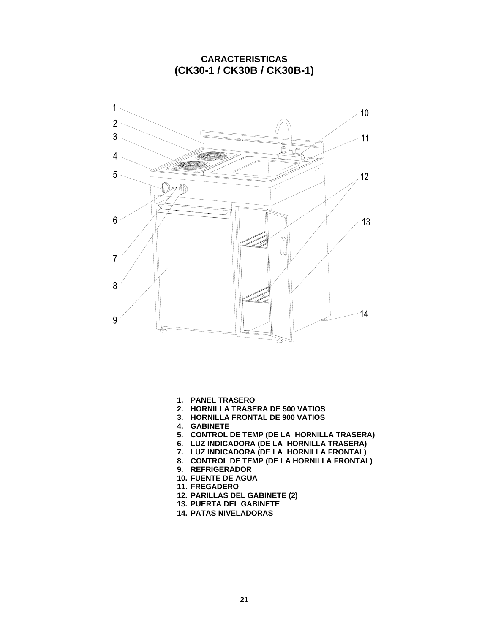# **CARACTERISTICAS (CK30-1 / CK30B / CK30B-1)**



- **1. PANEL TRASERO**
- **2. HORNILLA TRASERA DE 500 VATIOS**
- **3. HORNILLA FRONTAL DE 900 VATIOS**
- **4. GABINETE**
- **5. CONTROL DE TEMP (DE LA HORNILLA TRASERA)**
- **6. LUZ INDICADORA (DE LA HORNILLA TRASERA)**
- **7. LUZ INDICADORA (DE LA HORNILLA FRONTAL)**
- **8. CONTROL DE TEMP (DE LA HORNILLA FRONTAL)**
- **9. REFRIGERADOR**
- **10. FUENTE DE AGUA**
- **11. FREGADERO**
- **12. PARILLAS DEL GABINETE (2)**
- **13. PUERTA DEL GABINETE**
- **14. PATAS NIVELADORAS**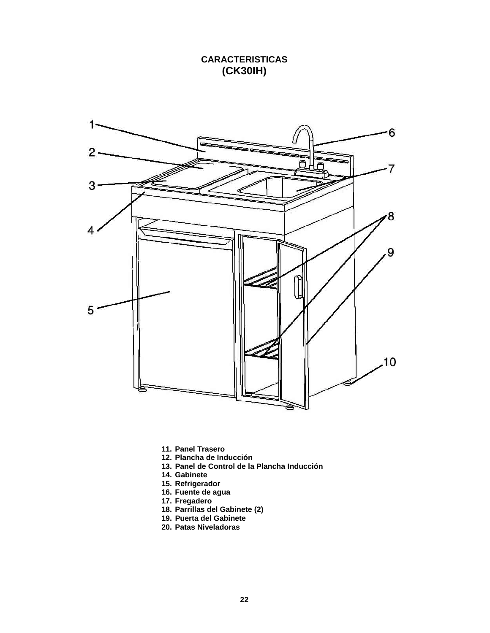# **CARACTERISTICAS (CK30IH)**



- **11. Panel Trasero**
- **12. Plancha de Inducción**
- **13. Panel de Control de la Plancha Inducción**
- **14. Gabinete**
- **15. Refrigerador**
- **16. Fuente de agua**
- **17. Fregadero**
- **18. Parrillas del Gabinete (2)**
- **19. Puerta del Gabinete**
- **20. Patas Niveladoras**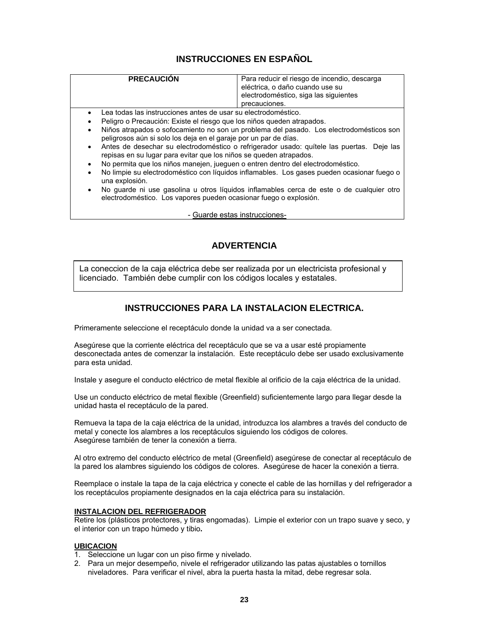# **INSTRUCCIONES EN ESPAÑOL**

| <b>PRECAUCIÓN</b><br>Para reducir el riesgo de incendio, descarga<br>eléctrica, o daño cuando use su<br>electrodoméstico, siga las siguientes                        |               |  |
|----------------------------------------------------------------------------------------------------------------------------------------------------------------------|---------------|--|
|                                                                                                                                                                      | precauciones. |  |
| Lea todas las instrucciones antes de usar su electrodoméstico.                                                                                                       |               |  |
| Peligro o Precaución: Existe el riesgo que los niños queden atrapados.                                                                                               |               |  |
| Niños atrapados o sofocamiento no son un problema del pasado. Los electrodomésticos son<br>٠<br>peligrosos aún si solo los deja en el garaje por un par de días.     |               |  |
| Antes de desechar su electrodoméstico o refrigerador usado: quítele las puertas. Deje las<br>٠<br>repisas en su lugar para evitar que los niños se queden atrapados. |               |  |
| No permita que los niños manejen, jueguen o entren dentro del electrodoméstico.                                                                                      |               |  |
| No limpie su electrodoméstico con líquidos inflamables. Los gases pueden ocasionar fuego o<br>una explosión.                                                         |               |  |
| No guarde ni use gasolina u otros líquidos inflamables cerca de este o de cualquier otro<br>electrodoméstico. Los vapores pueden ocasionar fuego o explosión.        |               |  |
| - Guarde estas instrucciones-                                                                                                                                        |               |  |

# **ADVERTENCIA**

La coneccion de la caja eléctrica debe ser realizada por un electricista profesional y licenciado. También debe cumplir con los códigos locales y estatales.

# **INSTRUCCIONES PARA LA INSTALACION ELECTRICA.**

Primeramente seleccione el receptáculo donde la unidad va a ser conectada.

Asegúrese que la corriente eléctrica del receptáculo que se va a usar esté propiamente desconectada antes de comenzar la instalación. Este receptáculo debe ser usado exclusivamente para esta unidad.

Instale y asegure el conducto eléctrico de metal flexible al orificio de la caja eléctrica de la unidad.

Use un conducto eléctrico de metal flexible (Greenfield) suficientemente largo para llegar desde la unidad hasta el receptáculo de la pared.

Remueva la tapa de la caja eléctrica de la unidad, introduzca los alambres a través del conducto de metal y conecte los alambres a los receptáculos siguiendo los códigos de colores. Asegúrese también de tener la conexión a tierra.

Al otro extremo del conducto eléctrico de metal (Greenfield) asegúrese de conectar al receptáculo de la pared los alambres siguiendo los códigos de colores. Asegúrese de hacer la conexión a tierra.

Reemplace o instale la tapa de la caja eléctrica y conecte el cable de las hornillas y del refrigerador a los receptáculos propiamente designados en la caja eléctrica para su instalación.

### **INSTALACION DEL REFRIGERADOR**

Retire los (plásticos protectores, y tiras engomadas). Limpie el exterior con un trapo suave y seco, y el interior con un trapo húmedo y tibio**.** 

### **UBICACION**

- 1. Seleccione un lugar con un piso firme y nivelado.
- 2. Para un mejor desempeño, nivele el refrigerador utilizando las patas ajustables o tornillos niveladores. Para verificar el nivel, abra la puerta hasta la mitad, debe regresar sola.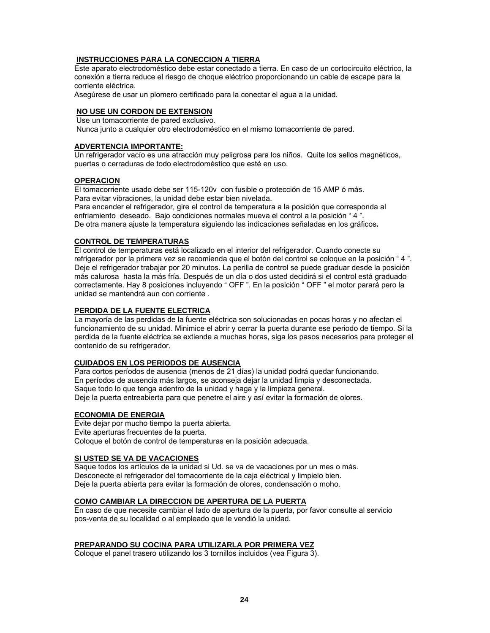### **INSTRUCCIONES PARA LA CONECCION A TIERRA**

Este aparato electrodoméstico debe estar conectado a tierra. En caso de un cortocircuito eléctrico, la conexión a tierra reduce el riesgo de choque eléctrico proporcionando un cable de escape para la corriente eléctrica.

Asegúrese de usar un plomero certificado para la conectar el agua a la unidad.

### **NO USE UN CORDON DE EXTENSION**

Use un tomacorriente de pared exclusivo.

Nunca junto a cualquier otro electrodoméstico en el mismo tomacorriente de pared.

### **ADVERTENCIA IMPORTANTE:**

Un refrigerador vacío es una atracción muy peligrosa para los niños. Quite los sellos magnéticos, puertas o cerraduras de todo electrodoméstico que esté en uso.

### **OPERACION**

El tomacorriente usado debe ser 115-120v con fusible o protección de 15 AMP ó más. Para evitar vibraciones, la unidad debe estar bien nivelada.

Para encender el refrigerador, gire el control de temperatura a la posición que corresponda al enfriamiento deseado. Bajo condiciones normales mueva el control a la posición " 4 ". De otra manera ajuste la temperatura siguiendo las indicaciones señaladas en los gráficos**.** 

### **CONTROL DE TEMPERATURAS**

El control de temperaturas está localizado en el interior del refrigerador. Cuando conecte su refrigerador por la primera vez se recomienda que el botón del control se coloque en la posición " 4 ". Deje el refrigerador trabajar por 20 minutos. La perilla de control se puede graduar desde la posición más calurosa hasta la más fría. Después de un día o dos usted decidirá si el control está graduado correctamente. Hay 8 posiciones incluyendo " OFF ". En la posición " OFF " el motor parará pero la unidad se mantendrá aun con corriente .

### **PERDIDA DE LA FUENTE ELECTRICA**

La mayoría de las perdidas de la fuente eléctrica son solucionadas en pocas horas y no afectan el funcionamiento de su unidad. Minimice el abrir y cerrar la puerta durante ese periodo de tiempo. Si la perdida de la fuente eléctrica se extiende a muchas horas, siga los pasos necesarios para proteger el contenido de su refrigerador.

### **CUIDADOS EN LOS PERIODOS DE AUSENCIA**

Para cortos períodos de ausencia (menos de 21 días) la unidad podrá quedar funcionando. En períodos de ausencia más largos, se aconseja dejar la unidad limpia y desconectada. Saque todo lo que tenga adentro de la unidad y haga y la limpieza general. Deje la puerta entreabierta para que penetre el aire y así evitar la formación de olores.

### **ECONOMIA DE ENERGIA**

Evite dejar por mucho tiempo la puerta abierta. Evite aperturas frecuentes de la puerta. Coloque el botón de control de temperaturas en la posición adecuada.

### **SI USTED SE VA DE VACACIONES**

Saque todos los artículos de la unidad si Ud. se va de vacaciones por un mes o más. Desconecte el refrigerador del tomacorriente de la caja eléctrical y limpielo bien. Deje la puerta abierta para evitar la formación de olores, condensación o moho.

### **COMO CAMBIAR LA DIRECCION DE APERTURA DE LA PUERTA**

En caso de que necesite cambiar el lado de apertura de la puerta, por favor consulte al servicio pos-venta de su localidad o al empleado que le vendió la unidad.

### **PREPARANDO SU COCINA PARA UTILIZARLA POR PRIMERA VEZ**

Coloque el panel trasero utilizando los 3 tornillos incluidos (vea Figura 3).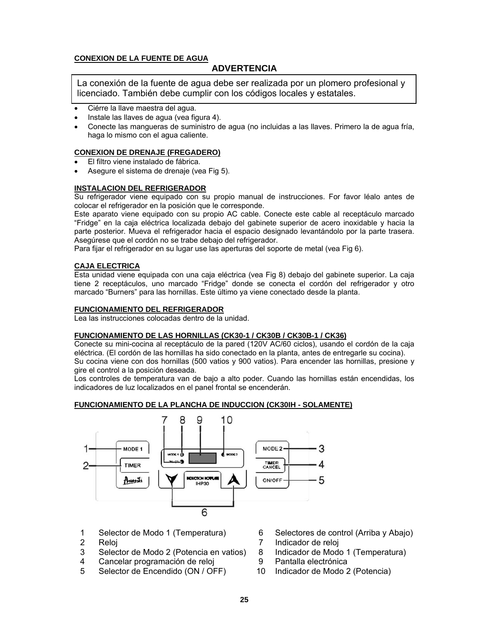### **CONEXION DE LA FUENTE DE AGUA**

# **ADVERTENCIA**

La conexión de la fuente de agua debe ser realizada por un plomero profesional y licenciado. También debe cumplir con los códigos locales y estatales.

- Ciérre la llave maestra del agua.
- Instale las llaves de agua (vea figura 4).
- Conecte las mangueras de suministro de agua (no incluidas a las llaves. Primero la de agua fría, haga lo mismo con el agua caliente.

#### **CONEXION DE DRENAJE (FREGADERO)**

- El filtro viene instalado de fábrica.
- Asegure el sistema de drenaje (vea Fig 5).

#### **INSTALACION DEL REFRIGERADOR**

Su refrigerador viene equipado con su propio manual de instrucciones. For favor léalo antes de colocar el refrigerador en la posición que le corresponde.

Este aparato viene equipado con su propio AC cable. Conecte este cable al receptáculo marcado "Fridge" en la caja eléctrica localizada debajo del gabinete superior de acero inoxidable y hacia la parte posterior. Mueva el refrigerador hacia el espacio designado levantándolo por la parte trasera. Asegúrese que el cordón no se trabe debajo del refrigerador.

Para fijar el refrigerador en su lugar use las aperturas del soporte de metal (vea Fig 6).

### **CAJA ELECTRICA**

Esta unidad viene equipada con una caja eléctrica (vea Fig 8) debajo del gabinete superior. La caja tiene 2 receptáculos, uno marcado "Fridge" donde se conecta el cordón del refrigerador y otro marcado "Burners" para las hornillas. Este último ya viene conectado desde la planta.

#### **FUNCIONAMIENTO DEL REFRIGERADOR**

Lea las instrucciones colocadas dentro de la unidad.

#### **FUNCIONAMIENTO DE LAS HORNILLAS (CK30-1 / CK30B / CK30B-1 / CK36)**

Conecte su mini-cocina al receptáculo de la pared (120V AC/60 ciclos), usando el cordón de la caja eléctrica. (El cordón de las hornillas ha sido conectado en la planta, antes de entregarle su cocina). Su cocina viene con dos hornillas (500 vatios y 900 vatios). Para encender las hornillas, presione y gire el control a la posición deseada.

Los controles de temperatura van de bajo a alto poder. Cuando las hornillas están encendidas, los indicadores de luz localizados en el panel frontal se encenderán.

#### **FUNCIONAMIENTO DE LA PLANCHA DE INDUCCION (CK30IH - SOLAMENTE)**



- 1 Selector de Modo 1 (Temperatura) 6 Selectores de control (Arriba y Abajo)
- 
- 3 Selector de Modo 2 (Potencia en vatios) 8 Indicador de Modo 1 (Temperatura)
- 4 Cancelar programación de reloj  $\overline{9}$  Pantalla electrónica
- 5 Selector de Encendido (ON / OFF) 10 Indicador de Modo 2 (Potencia)
- 
- 2 Reloj 7 Indicador de reloj
	-
	-
	-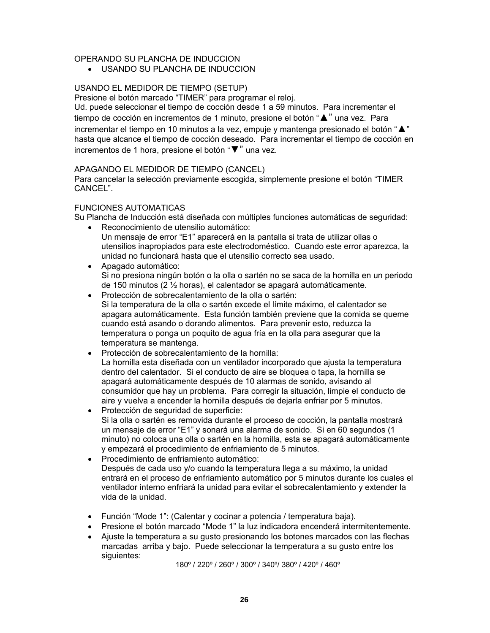### OPERANDO SU PLANCHA DE INDUCCION

• USANDO SU PLANCHA DE INDUCCION

# USANDO EL MEDIDOR DE TIEMPO (SETUP)

Presione el botón marcado "TIMER" para programar el reloj.

Ud. puede seleccionar el tiempo de cocción desde 1 a 59 minutos. Para incrementar el tiempo de cocción en incrementos de 1 minuto, presione el botón "▲" una vez. Para incrementar el tiempo en 10 minutos a la vez, empuje y mantenga presionado el botón "▲" hasta que alcance el tiempo de cocción deseado. Para incrementar el tiempo de cocción en incrementos de 1 hora, presione el botón "▼" una vez.

### APAGANDO EL MEDIDOR DE TIEMPO (CANCEL)

Para cancelar la selección previamente escogida, simplemente presione el botón "TIMER CANCEL".

### FUNCIONES AUTOMATICAS

Su Plancha de Inducción está diseñada con múltiples funciones automáticas de seguridad:

- Reconocimiento de utensilio automático: Un mensaje de error "E1" aparecerá en la pantalla si trata de utilizar ollas o utensilios inapropiados para este electrodoméstico. Cuando este error aparezca, la unidad no funcionará hasta que el utensilio correcto sea usado.
- Apagado automático: Si no presiona ningún botón o la olla o sartén no se saca de la hornilla en un periodo de 150 minutos (2 ½ horas), el calentador se apagará automáticamente.
- Protección de sobrecalentamiento de la olla o sartén: Si la temperatura de la olla o sartén excede el límite máximo, el calentador se apagara automáticamente. Esta función también previene que la comida se queme cuando está asando o dorando alimentos. Para prevenir esto, reduzca la temperatura o ponga un poquito de agua fría en la olla para asegurar que la temperatura se mantenga.
- Protección de sobrecalentamiento de la hornilla: La hornilla esta diseñada con un ventilador incorporado que ajusta la temperatura dentro del calentador. Si el conducto de aire se bloquea o tapa, la hornilla se apagará automáticamente después de 10 alarmas de sonido, avisando al consumidor que hay un problema. Para corregir la situación, limpie el conducto de aire y vuelva a encender la hornilla después de dejarla enfriar por 5 minutos.
- Protección de seguridad de superficie: Si la olla o sartén es removida durante el proceso de cocción, la pantalla mostrará un mensaje de error "E1" y sonará una alarma de sonido. Si en 60 segundos (1 minuto) no coloca una olla o sartén en la hornilla, esta se apagará automáticamente y empezará el procedimiento de enfriamiento de 5 minutos.
- Procedimiento de enfriamiento automático: Después de cada uso y/o cuando la temperatura llega a su máximo, la unidad entrará en el proceso de enfriamiento automático por 5 minutos durante los cuales el ventilador interno enfriará la unidad para evitar el sobrecalentamiento y extender la vida de la unidad.
- Función "Mode 1": (Calentar y cocinar a potencia / temperatura baja).
- Presione el botón marcado "Mode 1" la luz indicadora encenderá intermitentemente.
- Ajuste la temperatura a su gusto presionando los botones marcados con las flechas marcadas arriba y bajo. Puede seleccionar la temperatura a su gusto entre los siguientes:

180º / 220º / 260º / 300º / 340º/ 380º / 420º / 460º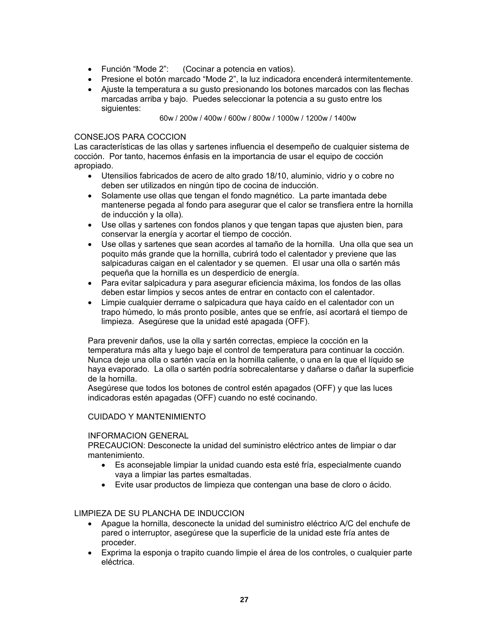- Función "Mode 2": (Cocinar a potencia en vatios).
- Presione el botón marcado "Mode 2", la luz indicadora encenderá intermitentemente.
- Ajuste la temperatura a su gusto presionando los botones marcados con las flechas marcadas arriba y bajo. Puedes seleccionar la potencia a su gusto entre los siguientes:

60w / 200w / 400w / 600w / 800w / 1000w / 1200w / 1400w

### CONSEJOS PARA COCCION

Las características de las ollas y sartenes influencia el desempeño de cualquier sistema de cocción. Por tanto, hacemos énfasis en la importancia de usar el equipo de cocción apropiado.

- Utensilios fabricados de acero de alto grado 18/10, aluminio, vidrio y o cobre no deben ser utilizados en ningún tipo de cocina de inducción.
- Solamente use ollas que tengan el fondo magnético. La parte imantada debe mantenerse pegada al fondo para asegurar que el calor se transfiera entre la hornilla de inducción y la olla).
- Use ollas y sartenes con fondos planos y que tengan tapas que ajusten bien, para conservar la energía y acortar el tiempo de cocción.
- Use ollas y sartenes que sean acordes al tamaño de la hornilla. Una olla que sea un poquito más grande que la hornilla, cubrirá todo el calentador y previene que las salpicaduras caigan en el calentador y se quemen. El usar una olla o sartén más pequeña que la hornilla es un desperdicio de energía.
- Para evitar salpicadura y para asegurar eficiencia máxima, los fondos de las ollas deben estar limpios y secos antes de entrar en contacto con el calentador.
- Limpie cualquier derrame o salpicadura que haya caído en el calentador con un trapo húmedo, lo más pronto posible, antes que se enfríe, así acortará el tiempo de limpieza. Asegúrese que la unidad esté apagada (OFF).

Para prevenir daños, use la olla y sartén correctas, empiece la cocción en la temperatura más alta y luego baje el control de temperatura para continuar la cocción. Nunca deje una olla o sartén vacía en la hornilla caliente, o una en la que el líquido se haya evaporado. La olla o sartén podría sobrecalentarse y dañarse o dañar la superficie de la hornilla.

Asegúrese que todos los botones de control estén apagados (OFF) y que las luces indicadoras estén apagadas (OFF) cuando no esté cocinando.

### CUIDADO Y MANTENIMIENTO

### INFORMACION GENERAL

PRECAUCION: Desconecte la unidad del suministro eléctrico antes de limpiar o dar mantenimiento.

- Es aconsejable limpiar la unidad cuando esta esté fría, especialmente cuando vaya a limpiar las partes esmaltadas.
- Evite usar productos de limpieza que contengan una base de cloro o ácido.

### LIMPIEZA DE SU PLANCHA DE INDUCCION

- Apague la hornilla, desconecte la unidad del suministro eléctrico A/C del enchufe de pared o interruptor, asegúrese que la superficie de la unidad este fría antes de proceder.
- Exprima la esponja o trapito cuando limpie el área de los controles, o cualquier parte eléctrica.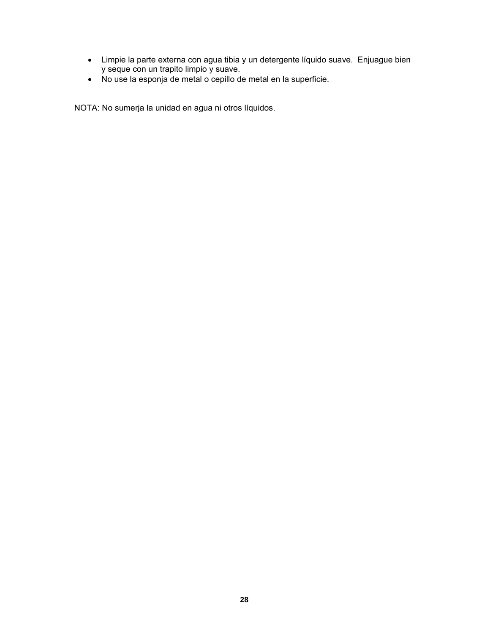- Limpie la parte externa con agua tibia y un detergente líquido suave. Enjuague bien y seque con un trapito limpio y suave.
- No use la esponja de metal o cepillo de metal en la superficie.

NOTA: No sumerja la unidad en agua ni otros líquidos.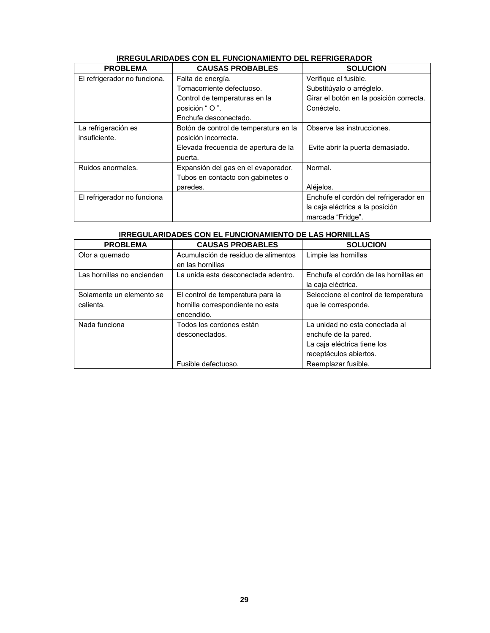| <b>PROBLEMA</b>              | <b>CAUSAS PROBABLES</b>               | <b>SOLUCION</b>                         |
|------------------------------|---------------------------------------|-----------------------------------------|
| El refrigerador no funciona. | Falta de energía.                     | Verifique el fusible.                   |
|                              | Tomacorriente defectuoso.             | Substitúvalo o arréglelo.               |
|                              | Control de temperaturas en la         | Girar el botón en la posición correcta. |
|                              | posición " O ".                       | Conéctelo.                              |
|                              | Enchufe desconectado.                 |                                         |
| La refrigeración es          | Botón de control de temperatura en la | Observe las instrucciones.              |
| insuficiente.                | posición incorrecta.                  |                                         |
|                              | Elevada frecuencia de apertura de la  | Evite abrir la puerta demasiado.        |
|                              | puerta.                               |                                         |
| Ruidos anormales.            | Expansión del gas en el evaporador.   | Normal.                                 |
|                              | Tubos en contacto con gabinetes o     |                                         |
|                              | paredes.                              | Aléjelos.                               |
| El refrigerador no funciona  |                                       | Enchufe el cordón del refrigerador en   |
|                              |                                       | la caja eléctrica a la posición         |
|                              |                                       | marcada "Fridge".                       |

# **IRREGULARIDADES CON EL FUNCIONAMIENTO DEL REFRIGERADOR**

### **IRREGULARIDADES CON EL FUNCIONAMIENTO DE LAS HORNILLAS**

| <b>PROBLEMA</b>            | <b>CAUSAS PROBABLES</b>             | <b>SOLUCION</b>                       |
|----------------------------|-------------------------------------|---------------------------------------|
| Olor a quemado             | Acumulación de residuo de alimentos | Limpie las hornillas                  |
|                            | en las hornillas                    |                                       |
| Las hornillas no encienden | La unida esta desconectada adentro. | Enchufe el cordón de las hornillas en |
|                            |                                     | la caja eléctrica.                    |
| Solamente un elemento se   | El control de temperatura para la   | Seleccione el control de temperatura  |
| calienta.                  | hornilla correspondiente no esta    | que le corresponde.                   |
|                            | encendido.                          |                                       |
| Nada funciona              | Todos los cordones están            | La unidad no esta conectada al        |
|                            | desconectados.                      | enchufe de la pared.                  |
|                            |                                     | La caja eléctrica tiene los           |
|                            |                                     | receptáculos abiertos.                |
|                            | Fusible defectuoso.                 | Reemplazar fusible.                   |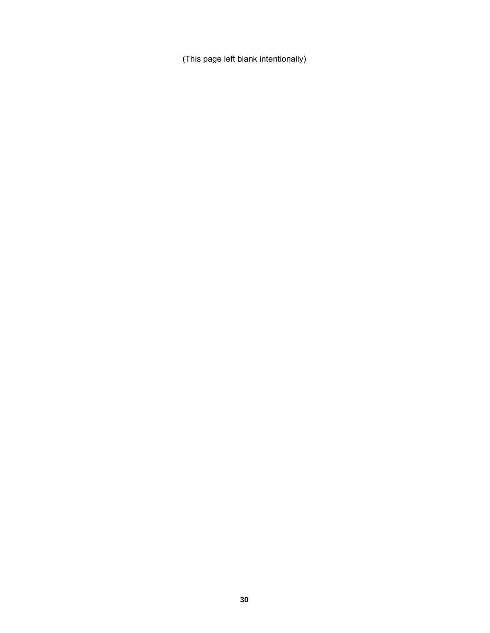(This page left blank intentionally)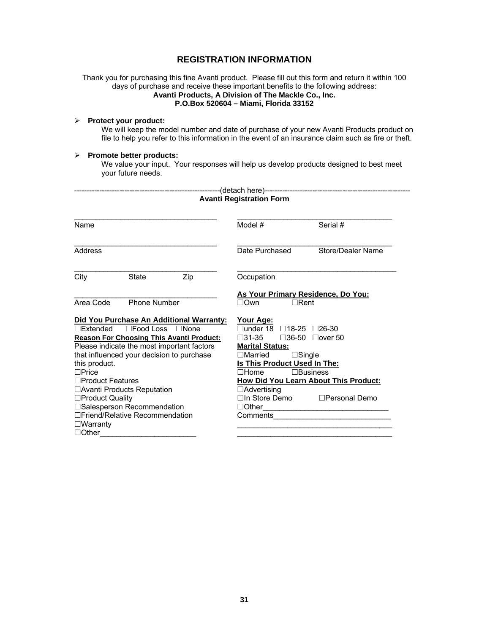### **REGISTRATION INFORMATION**

Thank you for purchasing this fine Avanti product. Please fill out this form and return it within 100 days of purchase and receive these important benefits to the following address: **Avanti Products, A Division of The Mackle Co., Inc. P.O.Box 520604 – Miami, Florida 33152** 

### ¾ **Protect your product:**

We will keep the model number and date of purchase of your new Avanti Products product on file to help you refer to this information in the event of an insurance claim such as fire or theft.

### ¾ **Promote better products:**

We value your input. Your responses will help us develop products designed to best meet your future needs.

| <b>Avanti Registration Form</b>                                                                                                                                                                                                                                                                                                                                                                                                                                 |                                                                                                                                                                                                                                                                                                                                                                                                                                                                                                                                                                                              |  |
|-----------------------------------------------------------------------------------------------------------------------------------------------------------------------------------------------------------------------------------------------------------------------------------------------------------------------------------------------------------------------------------------------------------------------------------------------------------------|----------------------------------------------------------------------------------------------------------------------------------------------------------------------------------------------------------------------------------------------------------------------------------------------------------------------------------------------------------------------------------------------------------------------------------------------------------------------------------------------------------------------------------------------------------------------------------------------|--|
|                                                                                                                                                                                                                                                                                                                                                                                                                                                                 |                                                                                                                                                                                                                                                                                                                                                                                                                                                                                                                                                                                              |  |
| Name                                                                                                                                                                                                                                                                                                                                                                                                                                                            | Model #<br>Serial #                                                                                                                                                                                                                                                                                                                                                                                                                                                                                                                                                                          |  |
| Address                                                                                                                                                                                                                                                                                                                                                                                                                                                         | Store/Dealer Name<br>Date Purchased                                                                                                                                                                                                                                                                                                                                                                                                                                                                                                                                                          |  |
| City<br>Zip<br>State                                                                                                                                                                                                                                                                                                                                                                                                                                            | Occupation                                                                                                                                                                                                                                                                                                                                                                                                                                                                                                                                                                                   |  |
| Area Code<br><b>Phone Number</b>                                                                                                                                                                                                                                                                                                                                                                                                                                | As Your Primary Residence, Do You:<br>$\Box$ Own<br>$\Box$ Rent                                                                                                                                                                                                                                                                                                                                                                                                                                                                                                                              |  |
| Did You Purchase An Additional Warranty:<br>$\square$ Extended<br>$\square$ Food Loss<br>$\Box$ None<br><b>Reason For Choosing This Avanti Product:</b><br>Please indicate the most important factors<br>that influenced your decision to purchase<br>this product.<br>$\Box$ Price<br>$\square$ Product Features<br>$\Box$ Avanti Products Reputation<br>□Product Quality<br>□Salesperson Recommendation<br>□Friend/Relative Recommendation<br>$\Box$ Warranty | Your Age:<br>□under 18 □ 18-25 □ 26-30<br>□31-35<br>$\Box$ 36-50 $\Box$ over 50<br><b>Marital Status:</b><br>$\Box$ Married<br>$\square$ Single<br>Is This Product Used In The:<br>$\Box$ Business<br>$\square$ Home<br><b>How Did You Learn About This Product:</b><br>$\Box$ Advertising<br>$\Box$ In Store Demo<br>□Personal Demo<br>$\Box$ Other<br>Comments <u>superior and the set of the set of the set of the set of the set of the set of the set of the set of the set of the set of the set of the set of the set of the set of the set of the set of the set of the set of t</u> |  |
| $\Box$ Other                                                                                                                                                                                                                                                                                                                                                                                                                                                    |                                                                                                                                                                                                                                                                                                                                                                                                                                                                                                                                                                                              |  |